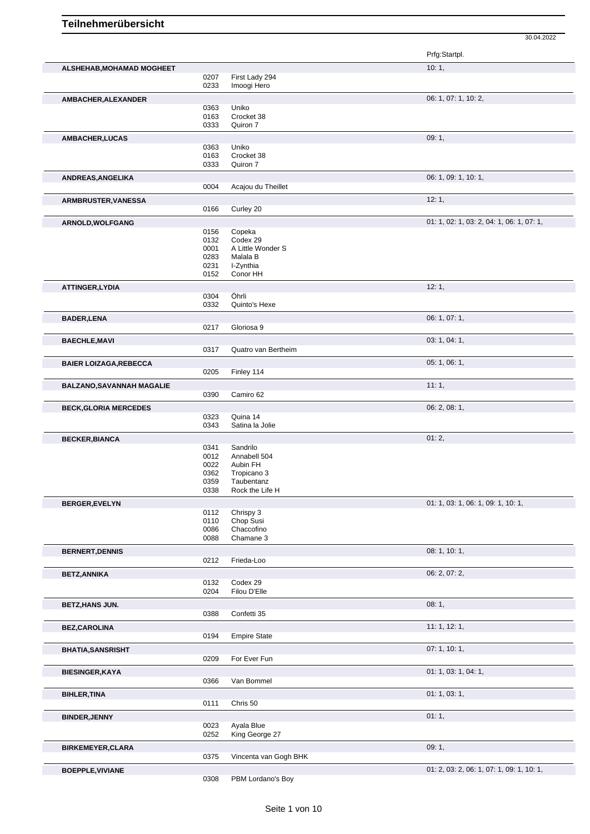30.04.2022 Prfg:Startpl. **ALSHEHAB,MOHAMAD MOGHEET** 10: 1, 0207 First Lady 294 0233 Imoogi Hero **AMBACHER, ALEXANDER** 06: 1, 07: 1, 10: 2, 0363 Uniko<br>0163 Crock 0163 Crocket 38<br>0333 Quiron 7 Quiron 7 **AMBACHER,LUCAS** 09: 1, 0363 Uniko<br>0163 Crock 0163 Crocket 38<br>0333 Quiron 7 Quiron 7 **ANDREAS,ANGELIKA** 06: 1, 09: 1, 10: 1, Acajou du Theillet **ARMBRUSTER,VANESSA** 12: 1, Curley 20 **ARNOLD,WOLFGANG** 01: 1, 02: 1, 03: 2, 04: 1, 06: 1, 07: 1, 07: 1, 07: 1, 07: 1, 07: 1, 07: 1, 07: 1, 07: 1, 05: 2, 04: 1, 06: 1, 07: 1, 0156 Copeka<br>0132 Codex 2 0132 Codex 29<br>0001 A Little W 0001 A Little Wonder S<br>0283 Malala B Malala B 0231 I-Zynthia<br>0152 Conor HH Conor HH **ATTINGER,LYDIA** 12: 1, 0304 Öhrli Öhrli 0332 Quinto's Hexe **BADER,LENA** 06: 1, 07: 1, 0217 Gloriosa 9 **BAECHLE,MAVI** 03: 1, 04: 1, 0317 Quatro van Bertheim **BAIER LOIZAGA,REBECCA** 05: 1, 06: 1, 0205 Finley 114 **BALZANO, SAVANNAH MAGALIE** 0390 Camiro 62<br>0390 Camiro 62 Camiro 62 **BECK,GLORIA MERCEDES** 0323 Quina 14<br>
0323 Quina 14 0323 Quina 14<br>0343 Satina la Satina la Jolie **BECKER,BIANCA** 01: 2, 0341 Sandrilo 0341 Sandrilo 0341 Sandrilo<br>0012 Annabell 0012 Annabell 504<br>0022 Aubin FH 0022 Aubin FH<br>0362 Tropicano 0362 Tropicano 3<br>0359 Taubentanz 0359 Taubentanz<br>0338 Rock the Life Rock the Life H **BERGER, EVELYN** 01: 1, 03: 1, 06: 1, 09: 1, 10: 1, 09: 1, 10: 1, 09: 1, 10: 1, 09: 1, 10: 1, 09: 1, 10: 1, 09: 1, 10: 1, 0112 Chrispy 3 0110 Chop Susi 0086 Chaccofino 0088 Chamane 3 **BERNERT, DENNIS** 08: 1, 10: 1, 0212 Frieda-Loo **1, 19: 1, 19: 1, 19: 1, 19: 1, 19: 1, 19: 1, 10: 1,** Frieda-Loo **BETZ,ANNIKA** 06: 2, 07: 2, 07: 2, 07: 2, 07: 2, 07: 2, 07: 2, 07: 2, 07: 2, 07: 2, 07: 2, 07: 2, 07: 2, 07: 2, 07: 2, 07: 2, 07: 2, 07: 2, 07: 2, 07: 2, 07: 2, 07: 2, 07: 2, 07: 2, 07: 2, 07: 2, 07: 2, 07: 2, 07: 2, 07: 2 Codex 29

|                          | ∪ ∶∪∠<br>0204 | <b>COUGA 25</b><br>Filou D'Elle |                                           |
|--------------------------|---------------|---------------------------------|-------------------------------------------|
| <b>BETZ, HANS JUN.</b>   |               |                                 | 08:1,                                     |
|                          | 0388          | Confetti 35                     |                                           |
| <b>BEZ,CAROLINA</b>      |               |                                 | 11: 1, 12: 1,                             |
|                          | 0194          | <b>Empire State</b>             |                                           |
| <b>BHATIA, SANSRISHT</b> |               |                                 | 07:1, 10:1,                               |
|                          | 0209          | For Ever Fun                    |                                           |
| <b>BIESINGER, KAYA</b>   |               |                                 | 01: 1, 03: 1, 04: 1,                      |
|                          | 0366          | Van Bommel                      |                                           |
| <b>BIHLER, TINA</b>      |               |                                 | 01: 1, 03: 1,                             |
|                          | 0111          | Chris 50                        |                                           |
| <b>BINDER, JENNY</b>     |               |                                 | 01:1,                                     |
|                          | 0023<br>0252  | Ayala Blue<br>King George 27    |                                           |
| <b>BIRKEMEYER, CLARA</b> |               |                                 | 09:1,                                     |
|                          | 0375          | Vincenta van Gogh BHK           |                                           |
| <b>BOEPPLE, VIVIANE</b>  |               |                                 | 01: 2, 03: 2, 06: 1, 07: 1, 09: 1, 10: 1, |
|                          | 0308          | PBM Lordano's Boy               |                                           |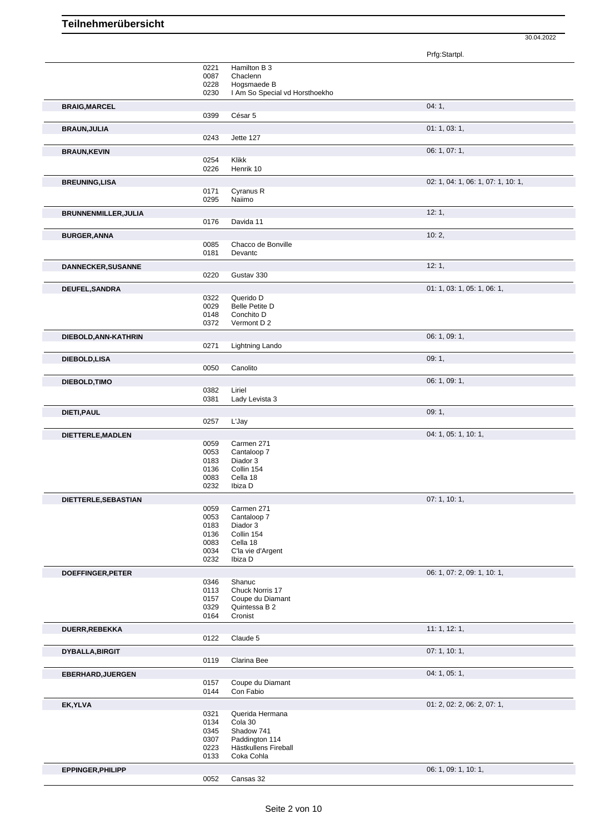Prfg:Startpl. 0221 Hamilton B 3 0087 Chaclenn<br>0228 Hogsmae 0228 Hogsmaede B<br>0230 I Am So Specia I Am So Special vd Horsthoekho **BRAIG, MARCEL** 04: 1, 04: 1, 04: 1, 04: 1, 04: 1, 04: 1, 04: 1, 04: 1, 04: 1, 04: 1, 04: 1, 04: 1, 04: 1, 04: 1, 04: 1, 04: 1, 04: 1, 04: 1, 04: 1, 04: 1, 04: 1, 04: 1, 04: 1, 04: 1, 04: 1, 04: 1, 04: 1, 04: 1, 04: 04: 04 0399 César 5 **BRAUN,JULIA** 01: 1, 03: 1, 0243 Jette 127 **BRAUN,KEVIN** 06: 1, 07: 1, 0254 Klikk 0226 Henrik 10 **BREUNING,LISA** 02: 1, 04: 1, 06: 1, 07: 1, 10: 1, 0171 Cyranus R<br>0295 Naiimo Naiimo **BRUNNENMILLER,JULIA** 12: 1, Davida 11 **BURGER,ANNA** 10: 2, 0085 Chacco de Bonville<br>0181 Devantc Devantc **DANNECKER, SUSANNE** 12: 1, 0220 Gustav 330 Gustav 330 **DEUFEL,SANDRA** 01: 1, 05: 1, 06: 1, 06: 1, 06: 1, 06: 1, 06: 1, 06: 1, 06: 1, 06: 1, 06: 1, 06: 1, 05: 1, 06: 1, 0322 Querido D<br>0029 Belle Petite 0029 Belle Petite D<br>0148 Conchito D 0148 Conchito D<br>0372 Vermont D Vermont D 2 **DIEBOLD,ANN-KATHRIN** 06: 1, 09: 1, 09: 1, 09: 1, 09: 1, 09: 1, 09: 1, 09: 1, 09: 1, 09: 1, 09: 1, 09: 1, 09: 1, 09: 1, 09: 1, 09: 1, 09: 1, 09: 1, 09: 1, 09: 1, 09: 1, 09: 1, 09: 1, 09: 1, 09: 1, 09: 1, 09: 1, 09: 1, 09: Lightning Lando **DIEBOLD,LISA** 09: 1, 0050 Canolito **DIEBOLD,TIMO** 06: 1, 09: 1, 09: 1, 09: 1, 09: 1, 09: 1, 09: 1, 09: 1, 09: 1, 09: 1, 09: 1, 09: 1, 09: 1, 09: 1, 09: 1, 09: 1, 09: 1, 09: 1, 09: 1, 09: 1, 09: 1, 09: 1, 09: 1, 09: 1, 09: 1, 09: 1, 09: 1, 09: 1, 09: 1, 09: 0382 Liriel 0381 Lady Levista 3 **DIETI,PAUL** 09: 1, 0257 L'Jay **DIETTERLE,MADLEN** 0059 Carmen 271 04: 1, 05: 1, 10: 1, Carmen 271 0053 Cantaloop 7 0183 Diador 3<br>0136 Collin 15 0136 Collin 154<br>0083 Cella 18 0083 Cella 18<br>0232 Ibiza D Ibiza D **DIETTERLE,SEBASTIAN** 07: 1, 10: 1,<br>
0059 Carmen 271 0059 Carmen 271<br>0053 Cantaloop 7 0053 Cantaloop 7<br>0183 Diador 3 0183 Diador 3<br>0136 Collin 15 0136 Collin 154 0083 Cella 18<br>0034 C'la vie d 0034 C'la vie d'Argent<br>0232 Ibiza D Ibiza D **DOEFFINGER, PETER** 0346 Shanuc 0346 Shanuc 0346 Shanuc 0346 Shanuc 0346 Shanuc 0346 Shanuc 0346 Shanuc 0346 Shanuc 0346 Shanuc 0346 Shanuc 0346 Shanuc 0346 Shanuc 0346 Shanuc 0346 Shanuc 0346 Shanuc 0346 Shanuc 0346 Shanu Shanuc 0113 Chuck Norris 17 0157 Coupe du Diamant<br>0329 Ouintessa B 2 0329 Quintessa B 2<br>0164 Cronist Cronist **DUERR,REBEKKA** 11: 1, 12: 1, 0122 Claude 5 **DYBALLA,BIRGIT** 07: 1, 10: 1, 0119 Clarina Bee **EBERHARD,JUERGEN** 04: 1, 05: 1, 0157 Coupe du Diamant<br>0144 Con Fabio Con Fabio **EK,YLVA** 01: 2, 02: 2, 06: 2, 07: 1, 0321 Querida Hermana<br>0134 Cola 30 0134 Cola 30 0345 Shadow 741<br>0307 Paddington 0307 Paddington 114<br>0223 Hästkullens Fire 0223 Hästkullens Fireball<br>0133 Coka Cohla Coka Cohla **EPPINGER, PHILIPP** 06: 1, 09: 1, 10: 1, 09: 1, 10: 1, 09: 1, 10: 1, 09: 1, 10: 1, 09: 1, 10: 1, 09: 1, 10: 1, 09: 1, 10: 1, 09: 1, 10: 1, 09: 1, 09: 1, 10: 1, 09: 1, 09: 1, 10: 1, 09: 1, 09: 1, 09: 1, 09: 1, 09: 1, 09: 1,

30.04.2022

Cansas 32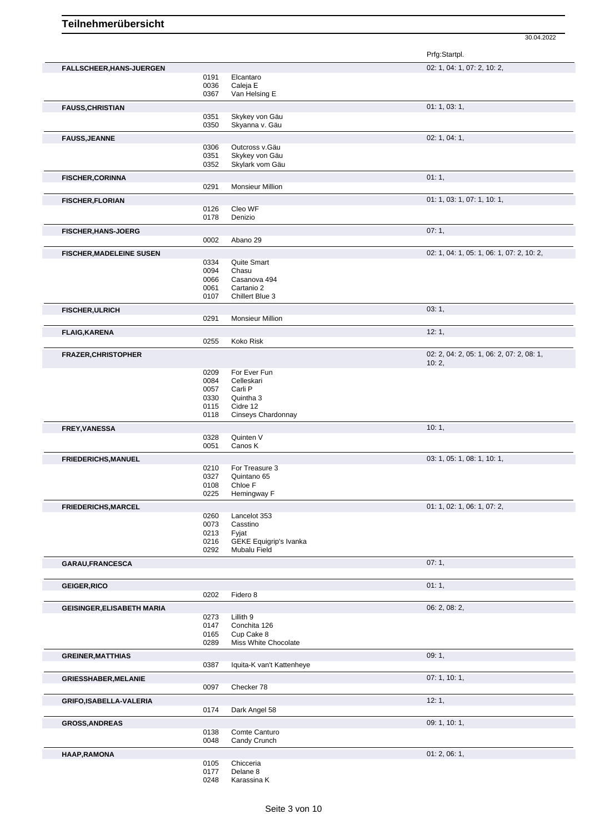30.04.2022

|                                   |      |                               | Prfg:Startpl.                             |
|-----------------------------------|------|-------------------------------|-------------------------------------------|
| FALLSCHEER, HANS-JUERGEN          |      |                               | 02: 1, 04: 1, 07: 2, 10: 2,               |
|                                   | 0191 | Elcantaro                     |                                           |
|                                   | 0036 | Caleja E                      |                                           |
|                                   | 0367 | Van Helsing E                 |                                           |
| <b>FAUSS, CHRISTIAN</b>           |      |                               | 01: 1, 03: 1,                             |
|                                   | 0351 | Skykey von Gäu                |                                           |
|                                   | 0350 | Skyanna v. Gäu                |                                           |
|                                   |      |                               | 02: 1, 04: 1,                             |
| <b>FAUSS, JEANNE</b>              | 0306 | Outcross v.Gäu                |                                           |
|                                   | 0351 | Skykey von Gäu                |                                           |
|                                   | 0352 | Skylark vom Gäu               |                                           |
|                                   |      |                               |                                           |
| <b>FISCHER, CORINNA</b>           |      |                               | 01:1,                                     |
|                                   | 0291 | <b>Monsieur Million</b>       |                                           |
| <b>FISCHER, FLORIAN</b>           |      |                               | 01: 1, 03: 1, 07: 1, 10: 1,               |
|                                   | 0126 | Cleo WF                       |                                           |
|                                   | 0178 | Denizio                       |                                           |
|                                   |      |                               | 07:1,                                     |
| <b>FISCHER, HANS-JOERG</b>        | 0002 | Abano 29                      |                                           |
|                                   |      |                               |                                           |
| <b>FISCHER, MADELEINE SUSEN</b>   |      |                               | 02: 1, 04: 1, 05: 1, 06: 1, 07: 2, 10: 2, |
|                                   | 0334 | Quite Smart                   |                                           |
|                                   | 0094 | Chasu                         |                                           |
|                                   | 0066 | Casanova 494                  |                                           |
|                                   | 0061 | Cartanio 2                    |                                           |
|                                   | 0107 | Chillert Blue 3               |                                           |
| <b>FISCHER, ULRICH</b>            |      |                               | 03:1,                                     |
|                                   | 0291 | <b>Monsieur Million</b>       |                                           |
|                                   |      |                               |                                           |
| <b>FLAIG, KARENA</b>              |      |                               | 12:1,                                     |
|                                   | 0255 | Koko Risk                     |                                           |
| <b>FRAZER, CHRISTOPHER</b>        |      |                               | 02: 2, 04: 2, 05: 1, 06: 2, 07: 2, 08: 1, |
|                                   |      |                               | 10:2,                                     |
|                                   | 0209 | For Ever Fun                  |                                           |
|                                   | 0084 | Celleskari                    |                                           |
|                                   | 0057 | Carli P                       |                                           |
|                                   | 0330 | Quintha 3                     |                                           |
|                                   | 0115 | Cidre 12                      |                                           |
|                                   | 0118 | Cinseys Chardonnay            |                                           |
| <b>FREY, VANESSA</b>              |      |                               | 10:1,                                     |
|                                   | 0328 | Quinten V                     |                                           |
|                                   | 0051 | Canos K                       |                                           |
|                                   |      |                               |                                           |
| <b>FRIEDERICHS, MANUEL</b>        |      |                               | 03: 1, 05: 1, 08: 1, 10: 1,               |
|                                   | 0210 | For Treasure 3                |                                           |
|                                   | 0327 | Quintano 65<br>Chloe F        |                                           |
|                                   | 0108 |                               |                                           |
|                                   | 0225 | Hemingway F                   |                                           |
| FRIEDERICHS, MARCEL               |      |                               | 01: 1, 02: 1, 06: 1, 07: 2,               |
|                                   | 0260 | Lancelot 353                  |                                           |
|                                   | 0073 | Casstino                      |                                           |
|                                   | 0213 | Fyjat                         |                                           |
|                                   | 0216 | <b>GEKE Equigrip's Ivanka</b> |                                           |
|                                   | 0292 | Mubalu Field                  |                                           |
| GARAU, FRANCESCA                  |      |                               | 07:1,                                     |
|                                   |      |                               |                                           |
|                                   |      |                               |                                           |
| <b>GEIGER, RICO</b>               |      |                               | 01:1,                                     |
|                                   | 0202 | Fidero 8                      |                                           |
| <b>GEISINGER, ELISABETH MARIA</b> |      |                               | 06: 2, 08: 2,                             |
|                                   | 0273 | Lillith 9                     |                                           |
|                                   | 0147 | Conchita 126                  |                                           |
|                                   | 0165 | Cup Cake 8                    |                                           |
|                                   | 0289 | Miss White Chocolate          |                                           |
| <b>GREINER, MATTHIAS</b>          |      |                               | 09:1,                                     |
|                                   | 0387 | Iquita-K van't Kattenheye     |                                           |
|                                   |      |                               |                                           |
| <b>GRIESSHABER, MELANIE</b>       |      |                               | 07: 1, 10: 1,                             |
|                                   | 0097 | Checker 78                    |                                           |
| GRIFO, ISABELLA-VALERIA           |      |                               | 12:1,                                     |
|                                   | 0174 | Dark Angel 58                 |                                           |
|                                   |      |                               |                                           |
| <b>GROSS, ANDREAS</b>             |      |                               | 09: 1, 10: 1,                             |
|                                   | 0138 | Comte Canturo                 |                                           |
|                                   | 0048 | Candy Crunch                  |                                           |
| HAAP, RAMONA                      |      |                               | 01: 2, 06: 1,                             |
|                                   | 0105 | Chicceria                     |                                           |
|                                   | 0177 | Delane 8                      |                                           |
|                                   | 0248 | Karassina K                   |                                           |
|                                   |      |                               |                                           |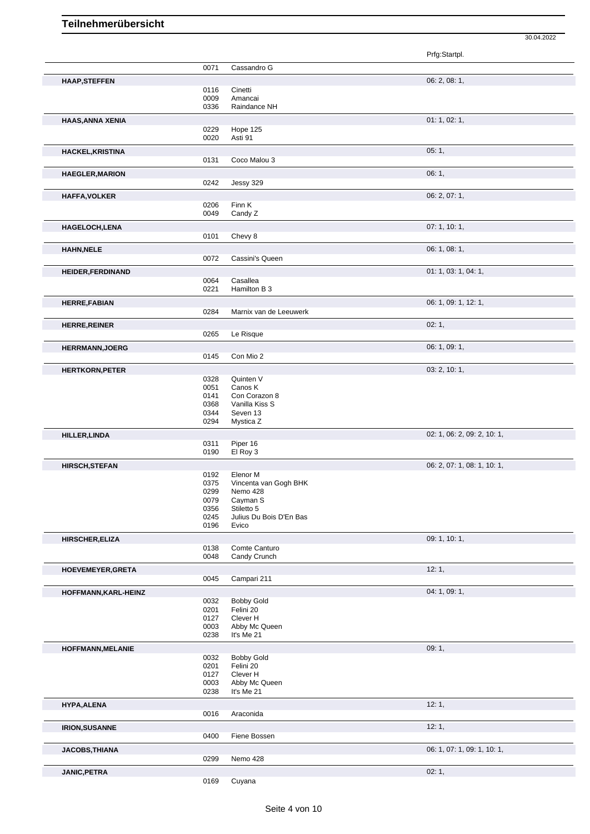|                          |              |                                       | 30.04.2022                  |
|--------------------------|--------------|---------------------------------------|-----------------------------|
|                          |              |                                       | Prfg:Startpl.               |
|                          | 0071         | Cassandro G                           |                             |
| <b>HAAP, STEFFEN</b>     |              |                                       | 06: 2, 08: 1,               |
|                          | 0116         | Cinetti                               |                             |
|                          | 0009         | Amancai                               |                             |
|                          | 0336         | Raindance NH                          |                             |
| <b>HAAS, ANNA XENIA</b>  |              |                                       | 01: 1, 02: 1,               |
|                          | 0229<br>0020 | Hope 125<br>Asti 91                   |                             |
| HACKEL, KRISTINA         |              |                                       | 05:1,                       |
|                          | 0131         | Coco Malou 3                          |                             |
| <b>HAEGLER, MARION</b>   |              |                                       | 06:1,                       |
|                          | 0242         | Jessy 329                             |                             |
| <b>HAFFA, VOLKER</b>     |              |                                       | 06: 2, 07: 1,               |
|                          | 0206         | Finn K                                |                             |
|                          | 0049         | Candy Z                               |                             |
| HAGELOCH, LENA           | 0101         | Chevy 8                               | 07:1, 10:1,                 |
|                          |              |                                       |                             |
| <b>HAHN, NELE</b>        | 0072         | Cassini's Queen                       | 06: 1, 08: 1,               |
|                          |              |                                       | 01: 1, 03: 1, 04: 1,        |
| <b>HEIDER, FERDINAND</b> | 0064         | Casallea                              |                             |
|                          | 0221         | Hamilton B 3                          |                             |
| <b>HERRE, FABIAN</b>     |              |                                       | 06: 1, 09: 1, 12: 1,        |
|                          | 0284         | Marnix van de Leeuwerk                |                             |
| <b>HERRE, REINER</b>     |              |                                       | 02:1,                       |
|                          | 0265         | Le Risque                             |                             |
| <b>HERRMANN, JOERG</b>   |              |                                       | 06: 1, 09: 1,               |
|                          | 0145         | Con Mio 2                             |                             |
| <b>HERTKORN, PETER</b>   |              |                                       | 03: 2, 10: 1,               |
|                          | 0328<br>0051 | Quinten V<br>Canos K                  |                             |
|                          | 0141         | Con Corazon 8                         |                             |
|                          | 0368         | Vanilla Kiss S                        |                             |
|                          | 0344<br>0294 | Seven 13<br>Mystica Z                 |                             |
| <b>HILLER, LINDA</b>     |              |                                       | 02: 1, 06: 2, 09: 2, 10: 1, |
|                          | 0311         | Piper 16                              |                             |
|                          | 0190         | El Roy 3                              |                             |
| <b>HIRSCH, STEFAN</b>    |              |                                       | 06: 2, 07: 1, 08: 1, 10: 1, |
|                          | 0192<br>0375 | Elenor M<br>Vincenta van Gogh BHK     |                             |
|                          | 0299         | Nemo 428                              |                             |
|                          | 0079         | Cayman S                              |                             |
|                          | 0356<br>0245 | Stiletto 5<br>Julius Du Bois D'En Bas |                             |
|                          | 0196         | Evico                                 |                             |
| <b>HIRSCHER, ELIZA</b>   |              |                                       | 09: 1, 10: 1,               |
|                          | 0138         | Comte Canturo                         |                             |
|                          | 0048         | Candy Crunch                          |                             |
| HOEVEMEYER, GRETA        |              |                                       | 12:1,                       |
|                          | 0045         | Campari 211                           |                             |
| HOFFMANN, KARL-HEINZ     | 0032         | <b>Bobby Gold</b>                     | 04: 1, 09: 1,               |
|                          | 0201         | Felini 20                             |                             |
|                          | 0127         | Clever H                              |                             |
|                          | 0003<br>0238 | Abby Mc Queen<br>It's Me 21           |                             |
|                          |              |                                       | 09:1,                       |
| HOFFMANN, MELANIE        | 0032         | <b>Bobby Gold</b>                     |                             |
|                          | 0201         | Felini 20                             |                             |
|                          | 0127<br>0003 | Clever H<br>Abby Mc Queen             |                             |
|                          | 0238         | It's Me 21                            |                             |
| HYPA, ALENA              |              |                                       | 12:1,                       |
|                          | 0016         | Araconida                             |                             |
| <b>IRION, SUSANNE</b>    |              |                                       | 12:1,                       |
|                          | 0400         | Fiene Bossen                          |                             |
| JACOBS, THIANA           |              |                                       | 06: 1, 07: 1, 09: 1, 10: 1, |
|                          | 0299         | Nemo 428                              |                             |
| JANIC, PETRA             |              |                                       | 02:1,                       |

Cuyana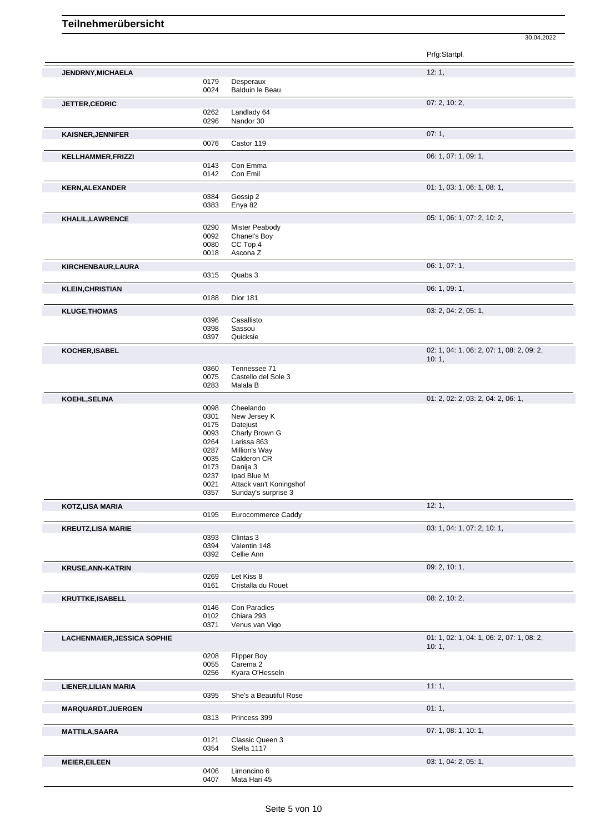Prfg:Startpl. **JENDRNY,MICHAELA** 12: 1, Desperaux 0024 Balduin le Beau **JETTER,CEDRIC** 07: 2, 10: 2, 0262 Landlady 64 0296 Nandor 30 **KAISNER,JENNIFER** 07: 1, Castor 119 **KELLHAMMER,FRIZZI** 06: 1, 07: 1, 09: 1, 09: 1, 09: 1, 09: 1, 09: 1, 09: 1, 09: 1, 09: 1, 09: 1, 09: 1, 09: 1, 09: 1, 09: 1, 09: 1, 09: 1, 09: 1, 09: 1, 09: 1, 09: 1, 09: 1, 09: 1, 09: 1, 09: 1, 09: 1, 09: 1, 09: 1, 09: 1, Con Emma 0142 Con Emil **KERN,ALEXANDER** 01: 1, 03: 1, 06: 1, 08: 1, 06: 1, 08: 1, 08: 1, 08: 1, 08: 1, 08: 1, 08: 1, 08: 1, 08: 1, 08: 1, 08: 1, 08: 1, 08: 1, 08: 1, 08: 1, 08: 1, 08: 1, 08: 1, 08: 1, 08: 1, 08: 1, 08: 1, 08: 1, 08: 1, 08: 1, 08 0384 Gossip 2 0383 Enya 82 **KHALIL,LAWRENCE** 05: 1, 06: 1, 07: 2, 10: 2, 0290 Mister Peabody<br>0092 Chanel's Boy 0092 Chanel's Boy<br>0080 CC Top 4 0080 CC Top 4<br>0018 Ascona Z Ascona Z **KIRCHENBAUR,LAURA** 06: 1, 07: 1,<br>
06: 1, 07: 1,<br>
0315 Quabs 3 Quabs 3 **KLEIN, CHRISTIAN** 06: 1, 09: 1, 09: 1, 09: 1, 09: 1, 09: 1, 09: 1, 09: 1, 09: 1, 09: 1, 09: 1, 09: 1, 09: 1, 09: 1, 09: 1, 09: 1, 09: 1, 09: 1, 09: 1, 09: 1, 09: 1, 09: 1, 09: 1, 09: 1, 09: 1, 09: 1, 09: 1, 09: 1, 09: 1, Dior 181 **KLUGE,THOMAS** 03: 2, 04: 2, 05: 1, 05: 1, 05: 1, 05: 1, 05: 1, 05: 1, 05: 1, 05: 1, 05: 1, 05: 1, 05: 1, 05: 1, 0396 Casallisto<br>0398 Sassou 0398 Sassou<br>0397 Quicksie Quicksie **KOCHER,ISABEL** 02: 1, 04: 1, 06: 2, 07: 1, 08: 2, 09: 2, 10: 1, 0360 Tennessee 71 0075 Castello del Sole 3 0283 Malala B **KOEHL,SELINA** 01: 2, 02: 2, 03: 2, 04: 2, 06: 1, 0098 Cheelando 0301 New Jersey K<br>0175 Datejust 0175 Datejust<br>0093 Charly B 0093 Charly Brown G<br>0264 Larissa 863 0264 Larissa 863<br>0287 Million's Wa 0287 Million's Way<br>0035 Calderon CR 0035 Calderon CR<br>0173 Danija 3 0173 Danija 3<br>0237 lpad Blu 0237 Ipad Blue M<br>0021 Attack van't 0021 Attack van't Koningshof<br>0357 Sunday's surprise 3 Sunday's surprise 3 **KOTZ,LISA MARIA** 12: 1, Eurocommerce Caddy **KREUTZ,LISA MARIE** 03: 1, 04: 1, 07: 2, 10: 1, 07: 2, 10: 1, 07: 2, 10: 1, 07: 2, 10: 1, 07: 2, 10: 1, 07: 2, 10: 1, 0393 Clintas 3<br>0394 Valentin 0394 Valentin 148<br>0392 Cellie Ann Cellie Ann **KRUSE,ANN-KATRIN** 09: 2, 10: 1, 09: 2, 10: 1, 09: 2, 10: 1, 09: 2, 10: 1, 09: 2, 10: 1, 09: 2, 10: 1, 09: 2, 10: 1, Let Kiss 8 0161 Cristalla du Rouet **KRUTTKE,ISABELL** 08: 2, 10: 2, 0146 Con Paradies 0102 Chiara 293<br>0371 Venus van Venus van Vigo **LACHENMAIER,JESSICA SOPHIE** 01: 1, 02: 1, 04: 1, 06: 2, 07: 1, 08: 2, 10: 1, 0208 Flipper Boy<br>0055 Carema 2 0055 Carema 2<br>0256 Kyara O'H Kyara O'Hesseln **LIENER,LILIAN MARIA** 11: 1, 0395 She's a Beautiful Rose **MARQUARDT, JUERGEN** 0313 Princess 399 Princess 399 **MATTILA,SAARA** 07: 1, 08: 1, 10: 1, 08: 1, 10: 1, 08: 1, 10: 1, 08: 1, 10: 1, 08: 1, 10: 1, 08: 1, 10: 1, 08: 1, 10: 1, Classic Queen 3 0354 Stella 1117

30.04.2022

**MEIER,EILEEN** 03: 1, 04: 2, 05: 1, 0406 Limoncino 6<br>0407 Mata Hari 45 Mata Hari 45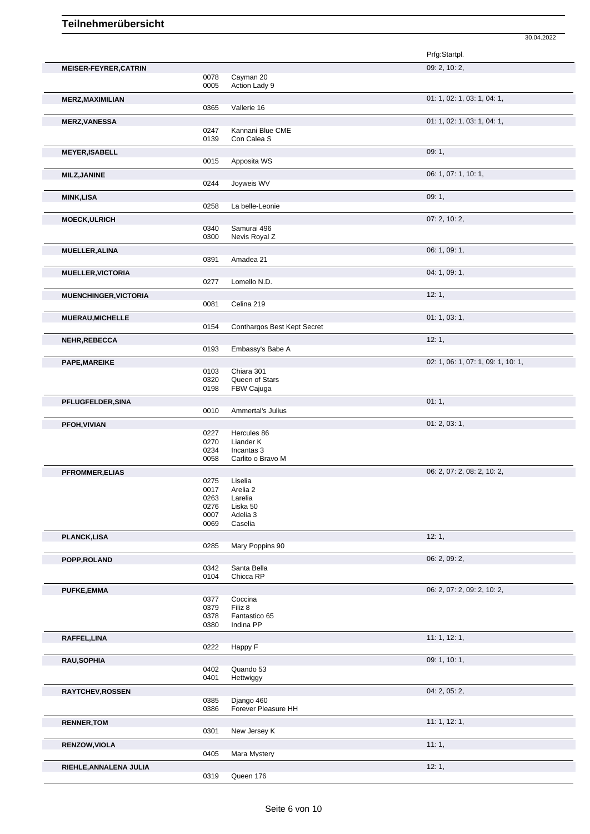|                              |              |                                 | 30.04.2022                         |
|------------------------------|--------------|---------------------------------|------------------------------------|
|                              |              |                                 | Prfg:Startpl.                      |
| <b>MEISER-FEYRER, CATRIN</b> |              |                                 | 09: 2, 10: 2,                      |
|                              | 0078         | Cayman 20                       |                                    |
|                              | 0005         | Action Lady 9                   |                                    |
| <b>MERZ, MAXIMILIAN</b>      |              |                                 | 01: 1, 02: 1, 03: 1, 04: 1,        |
|                              | 0365         | Vallerie 16                     |                                    |
| <b>MERZ, VANESSA</b>         |              |                                 | 01: 1, 02: 1, 03: 1, 04: 1,        |
|                              | 0247<br>0139 | Kannani Blue CME<br>Con Calea S |                                    |
|                              |              |                                 |                                    |
| <b>MEYER, ISABELL</b>        | 0015         | Apposita WS                     | 09:1,                              |
|                              |              |                                 |                                    |
| <b>MILZ, JANINE</b>          | 0244         | Joyweis WV                      | 06: 1, 07: 1, 10: 1,               |
| <b>MINK,LISA</b>             |              |                                 | 09:1,                              |
|                              | 0258         | La belle-Leonie                 |                                    |
| <b>MOECK, ULRICH</b>         |              |                                 | 07: 2, 10: 2,                      |
|                              | 0340         | Samurai 496                     |                                    |
|                              | 0300         | Nevis Royal Z                   |                                    |
| <b>MUELLER, ALINA</b>        |              |                                 | 06: 1, 09: 1,                      |
|                              | 0391         | Amadea 21                       |                                    |
| <b>MUELLER, VICTORIA</b>     |              |                                 | 04: 1, 09: 1,                      |
|                              | 0277         | Lomello N.D.                    |                                    |
| <b>MUENCHINGER, VICTORIA</b> |              |                                 | 12:1,                              |
|                              | 0081         | Celina 219                      |                                    |
| <b>MUERAU, MICHELLE</b>      |              |                                 | 01: 1, 03: 1,                      |
|                              | 0154         | Conthargos Best Kept Secret     |                                    |
| <b>NEHR, REBECCA</b>         |              |                                 | 12:1,                              |
|                              | 0193         | Embassy's Babe A                |                                    |
| PAPE, MAREIKE                |              |                                 | 02: 1, 06: 1, 07: 1, 09: 1, 10: 1, |
|                              | 0103<br>0320 | Chiara 301<br>Queen of Stars    |                                    |
|                              | 0198         | FBW Cajuga                      |                                    |
| PFLUGFELDER, SINA            |              |                                 | 01:1,                              |
|                              | 0010         | Ammertal's Julius               |                                    |
| PFOH, VIVIAN                 |              |                                 | 01: 2, 03: 1,                      |
|                              | 0227         | Hercules 86                     |                                    |
|                              | 0270<br>0234 | Liander K<br>Incantas 3         |                                    |
|                              | 0058         | Carlito o Bravo M               |                                    |
| <b>PFROMMER, ELIAS</b>       |              |                                 | 06: 2, 07: 2, 08: 2, 10: 2,        |
|                              | 0275         | Liselia                         |                                    |
|                              | 0017<br>0263 | Arelia 2<br>Larelia             |                                    |
|                              | 0276         | Liska 50                        |                                    |
|                              | 0007         | Adelia 3                        |                                    |
|                              | 0069         | Caselia                         |                                    |
| <b>PLANCK,LISA</b>           |              |                                 | 12:1,                              |
|                              | 0285         | Mary Poppins 90                 |                                    |
| POPP, ROLAND                 |              |                                 | 06: 2, 09: 2,                      |
|                              | 0342<br>0104 | Santa Bella<br>Chicca RP        |                                    |
| <b>PUFKE,EMMA</b>            |              |                                 | 06: 2, 07: 2, 09: 2, 10: 2,        |
|                              | 0377         | Coccina                         |                                    |
|                              | 0379         | Filiz 8                         |                                    |
|                              | 0378<br>0380 | Fantastico 65<br>Indina PP      |                                    |
|                              |              |                                 |                                    |
| RAFFEL,LINA                  | 0222         | Happy F                         | 11: 1, 12: 1,                      |
|                              |              |                                 |                                    |
| <b>RAU, SOPHIA</b>           | 0402         | Quando 53                       | 09: 1, 10: 1,                      |
|                              | 0401         | Hettwiggy                       |                                    |
| <b>RAYTCHEV, ROSSEN</b>      |              |                                 | 04: 2, 05: 2,                      |
|                              | 0385         | Django 460                      |                                    |
|                              | 0386         | Forever Pleasure HH             |                                    |
| <b>RENNER, TOM</b>           |              |                                 | 11: 1, 12: 1,                      |
|                              | 0301         | New Jersey K                    |                                    |
| <b>RENZOW, VIOLA</b>         |              |                                 | 11:1,                              |
|                              | 0405         | Mara Mystery                    |                                    |
| RIEHLE, ANNALENA JULIA       |              |                                 | 12:1,                              |
|                              | 0319         | Queen 176                       |                                    |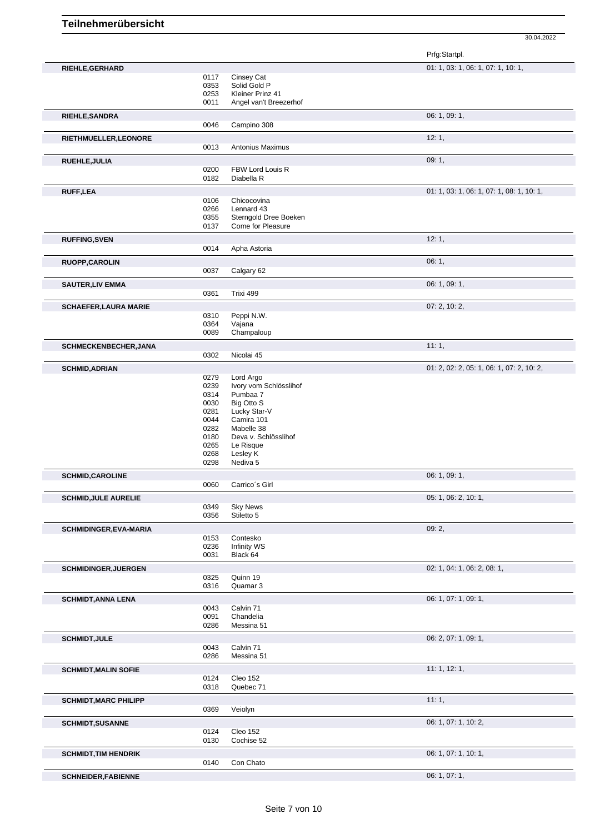30.04.2022

|                               |              |                                    | Prfg:Startpl.                             |
|-------------------------------|--------------|------------------------------------|-------------------------------------------|
| RIEHLE, GERHARD               |              |                                    | 01: 1, 03: 1, 06: 1, 07: 1, 10: 1,        |
|                               | 0117         | Cinsey Cat                         |                                           |
|                               | 0353         | Solid Gold P                       |                                           |
|                               | 0253         | Kleiner Prinz 41                   |                                           |
|                               | 0011         | Angel van't Breezerhof             |                                           |
| RIEHLE, SANDRA                | 0046         | Campino 308                        | 06: 1, 09: 1,                             |
|                               |              |                                    |                                           |
| RIETHMUELLER, LEONORE         | 0013         | <b>Antonius Maximus</b>            | 12:1,                                     |
|                               |              |                                    | 09:1,                                     |
| RUEHLE, JULIA                 | 0200         | FBW Lord Louis R                   |                                           |
|                               | 0182         | Diabella R                         |                                           |
| RUFF, LEA                     |              |                                    | 01: 1, 03: 1, 06: 1, 07: 1, 08: 1, 10: 1, |
|                               | 0106         | Chicocovina                        |                                           |
|                               | 0266         | Lennard 43                         |                                           |
|                               | 0355         | Sterngold Dree Boeken              |                                           |
|                               | 0137         | Come for Pleasure                  |                                           |
| <b>RUFFING, SVEN</b>          |              |                                    | 12:1,                                     |
|                               | 0014         | Apha Astoria                       |                                           |
| RUOPP, CAROLIN                |              |                                    | 06:1,                                     |
|                               | 0037         | Calgary 62                         |                                           |
| <b>SAUTER, LIV EMMA</b>       |              |                                    | 06: 1, 09: 1,                             |
|                               | 0361         | Trixi 499                          |                                           |
| <b>SCHAEFER, LAURA MARIE</b>  |              |                                    | 07: 2, 10: 2,                             |
|                               | 0310         | Peppi N.W.                         |                                           |
|                               | 0364<br>0089 | Vajana<br>Champaloup               |                                           |
|                               |              |                                    |                                           |
| SCHMECKENBECHER, JANA         | 0302         | Nicolai 45                         | 11:1,                                     |
|                               |              |                                    |                                           |
| <b>SCHMID, ADRIAN</b>         | 0279         | Lord Argo                          | 01: 2, 02: 2, 05: 1, 06: 1, 07: 2, 10: 2, |
|                               | 0239         | Ivory vom Schlösslihof             |                                           |
|                               | 0314         | Pumbaa 7                           |                                           |
|                               | 0030         | Big Otto S                         |                                           |
|                               | 0281         | Lucky Star-V                       |                                           |
|                               | 0044         | Camira 101                         |                                           |
|                               | 0282<br>0180 | Mabelle 38<br>Deva v. Schlösslihof |                                           |
|                               | 0265         | Le Risque                          |                                           |
|                               | 0268         | Lesley K                           |                                           |
|                               | 0298         | Nediva 5                           |                                           |
| <b>SCHMID,CAROLINE</b>        |              |                                    | 06: 1, 09: 1,                             |
|                               | 0060         | Carrico's Girl                     |                                           |
| <b>SCHMID, JULE AURELIE</b>   |              |                                    | 05: 1, 06: 2, 10: 1,                      |
|                               | 0349         | <b>Sky News</b>                    |                                           |
|                               | 0356         | Stiletto 5                         |                                           |
| <b>SCHMIDINGER, EVA-MARIA</b> |              |                                    | 09:2,                                     |
|                               | 0153         | Contesko                           |                                           |
|                               | 0236<br>0031 | Infinity WS<br>Black 64            |                                           |
|                               |              |                                    |                                           |
| <b>SCHMIDINGER, JUERGEN</b>   | 0325         | Quinn 19                           | 02: 1, 04: 1, 06: 2, 08: 1,               |
|                               | 0316         | Quamar 3                           |                                           |
| <b>SCHMIDT, ANNA LENA</b>     |              |                                    | 06: 1, 07: 1, 09: 1,                      |
|                               | 0043         | Calvin 71                          |                                           |
|                               | 0091         | Chandelia                          |                                           |
|                               | 0286         | Messina 51                         |                                           |
| <b>SCHMIDT, JULE</b>          |              |                                    | 06: 2, 07: 1, 09: 1,                      |
|                               | 0043         | Calvin 71                          |                                           |
|                               | 0286         | Messina 51                         |                                           |
| <b>SCHMIDT, MALIN SOFIE</b>   |              |                                    | 11:1, 12:1,                               |
|                               | 0124<br>0318 | Cleo 152<br>Quebec 71              |                                           |
|                               |              |                                    |                                           |
| <b>SCHMIDT, MARC PHILIPP</b>  | 0369         | Veiolyn                            | 11:1,                                     |
|                               |              |                                    |                                           |
| <b>SCHMIDT, SUSANNE</b>       | 0124         | Cleo 152                           | 06: 1, 07: 1, 10: 2,                      |
|                               | 0130         | Cochise 52                         |                                           |
|                               |              |                                    | 06: 1, 07: 1, 10: 1,                      |
| <b>SCHMIDT, TIM HENDRIK</b>   | 0140         | Con Chato                          |                                           |
|                               |              |                                    | 06: 1, 07: 1,                             |
| <b>SCHNEIDER, FABIENNE</b>    |              |                                    |                                           |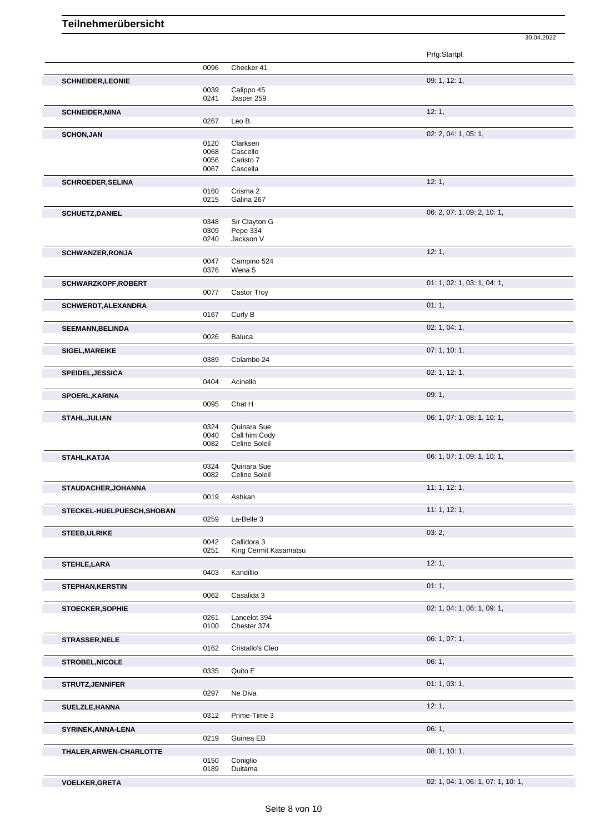Prfg:Startpl. 0096 Checker 41 **SCHNEIDER, LEONIE** 00039 Calippo 45 **Calippo 45** 09: 1, 12: 1, Calippo 45 0241 Jasper 259 **SCHNEIDER, NINA** 12: 1, 0267 Leo B. **SCHON,JAN** 02: 2, 04: 1, 05: 1, 05: 1, 05: 1, 05: 1, 05: 1, 05: 1, 05: 1, 05: 1, 05: 1, 05: 1, 05: 1, 05: 1, 05: 1, 05: 1, 05: 1, 05: 1, 05: 1, 05: 1, 05: 1, 05: 1, 05: 1, 05: 1, 05: 1, 05: 1, 05: 1, 05: 1, 05: 1, 05: 1, Clarksen 0068 Cascello 0056 Caristo 7 0067 Cascella **SCHROEDER, SELINA** 12: 1, 0160 Crisma 2<br>0215 Galina 26 Galina 267 **SCHUETZ, DANIEL** 0348 Sir Clayton G 0348 Sir Clayton G 06: 2, 07: 1, 09: 2, 10: 1, 0348 Sir Clayton G<br>0309 Pepe 334 0309 Pepe 334<br>0240 Jackson V Jackson V **SCHWANZER,RONJA** 12: 1, 20047 Campino 524 Campino 524 0376 Wena 5 **SCHWARZKOPF,ROBERT** 01: 1, 02: 1, 03: 1, 04: 1, 0077 Castor Troy **SCHWERDT,ALEXANDRA** 01: 1, 01: 1, 01: 1, 01: 1, 01: 1, 01: 1, 01: 1, 01: 1, 01: 1, 01: 1, 01: 1, 01: 1, 01: 1, 01: 1, 01: 1, 01: 1, 01: 1, 01: 1, 01: 1, 01: 1, 01: 1, 01: 1, 01: 1, 01: 1, 01: 1, 01: 01: 01: 01: 01: 01: 01 0167 Curly B **SEEMANN,BELINDA** 02: 1, 04: 1, **Baluca SIGEL, MAREIKE** 07: 1, 10: 1, 0389 Colambo 24 Colambo 24 **SPEIDEL,JESSICA** 02: 1, 12: 1, Acinello **SPOERL,KARINA** 09: 1, Chat H **STAHL,JULIAN** 06: 1, 07: 1, 08: 1, 10: 1, 0324 Quinara Sue 0040 Call him Cody<br>0082 Celine Soleil Celine Soleil **STAHL,KATJA** 06: 1, 07: 1, 09: 1, 10: 1, 0324 Quinara Sue<br>0082 Celine Soleil Celine Soleil **STAUDACHER,JOHANNA** 11: 1, 12: 1, 12: 1, 12: 1, 12: 1, 12: 1, 12: 1, 12: 1, 12: 1, 12: 1, 12: 1, 12: 1, 12: 1, 12: 1, Ashkan **STECKEL-HUELPUESCH, SHOBAN** 0259 La-Belle 3 **11: 1, 12: 1,** 11: 1, 12: 1, La-Belle 3 **STEEB,ULRIKE** 03: 2, 0042 Callidora 3<br>0251 King Cermi King Cermit Kasamatsu **STEHLE,LARA** 12: 1, 2: 1, 2: 1, 2: 1, 2: 1, 2: 1, 2: 1, 2: 1, 2: 1, 2: 1, 2: 1, 2: 1, 2: 1, 2: 1, 2: 1, 2: 1, 2: 1, 2: 1, 2: 1, 2: 1, 2: 1, 2: 1, 2: 1, 2: 1, 2: 1, 2: 1, 2: 1, 2: 1, 2: 1, 2: 1, 2: 1, 2: 1, 2: 1, 2: 1, 2: Kandillio **STEPHAN,KERSTIN** 01: 1, 0062 Casalida 3 Casalida 3 **STOECKER,SOPHIE** 02: 1, 04: 1, 06: 1, 09: 1, 04: 1, 05: 1, 09: 1, 09: 1, 09: 1, 09: 1, 09: 1, 09: 1, 09: 1, 09: 1, 0261 Lancelot 394<br>0100 Chester 374 Chester 374 **STRASSER, NELE** 06: 1, 07: 1, 0162 Cristallo's Cleo **STROBEL, NICOLE** 0335 Quito E 0335 Quito E Quito E **STRUTZ, JENNIFER** 01: 1, 03: 1, 03: 1, 03: 1, 03: 1, 03: 1, 03: 1, 03: 1, 03: 1, 03: 1, 03: 1, 03: 1, 03: 1, 03: 1, 03: 1, 03: 1, 03: 1, 03: 1, 03: 1, 03: 1, 03: 1, 03: 1, 03: 1, 03: 1, 03: 1, 03: 1, 03: 1, 03: 1, 03: 1, Ne Diva **SUELZLE,HANNA** 12: 1, Prime-Time 3 **SYRINEK,ANNA-LENA** 06: 1, 0219 Guinea EB Guinea EB **THALER,ARWEN-CHARLOTTE** 08: 1, 10: 1,

**VOELKER,GRETA** 02: 1, 04: 1, 06: 1, 07: 1, 10: 1,

30.04.2022

0150 Coniglio 0189 Duitama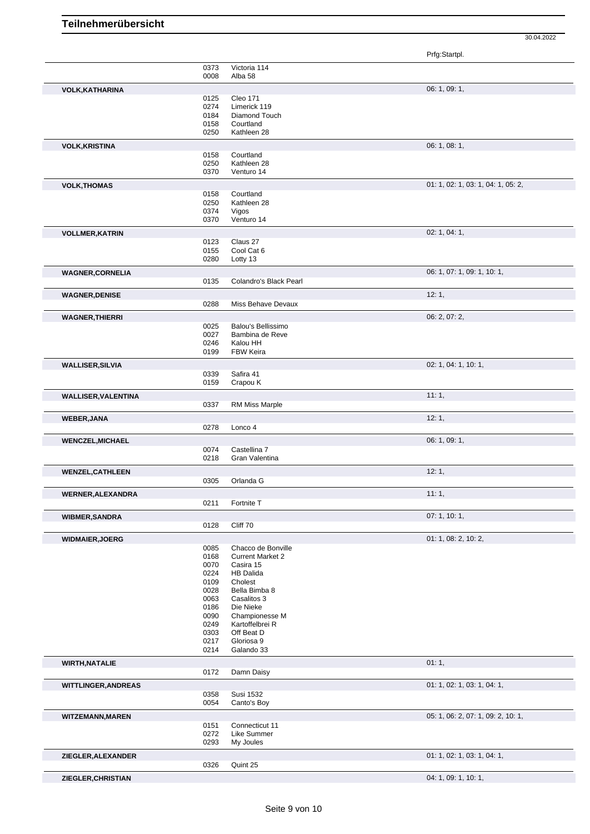30.04.2022

|                            |              |                                               | Prfg:Startpl.                      |
|----------------------------|--------------|-----------------------------------------------|------------------------------------|
|                            | 0373<br>0008 | Victoria 114<br>Alba 58                       |                                    |
| <b>VOLK, KATHARINA</b>     |              |                                               | 06: 1, 09: 1,                      |
|                            | 0125         | <b>Cleo 171</b>                               |                                    |
|                            | 0274         | Limerick 119                                  |                                    |
|                            | 0184<br>0158 | Diamond Touch<br>Courtland                    |                                    |
|                            | 0250         | Kathleen 28                                   |                                    |
| <b>VOLK, KRISTINA</b>      |              |                                               | 06: 1, 08: 1,                      |
|                            | 0158         | Courtland                                     |                                    |
|                            | 0250<br>0370 | Kathleen 28<br>Venturo 14                     |                                    |
| <b>VOLK, THOMAS</b>        |              |                                               | 01: 1, 02: 1, 03: 1, 04: 1, 05: 2, |
|                            | 0158         | Courtland                                     |                                    |
|                            | 0250         | Kathleen 28                                   |                                    |
|                            | 0374<br>0370 | Vigos<br>Venturo 14                           |                                    |
| <b>VOLLMER, KATRIN</b>     |              |                                               | 02: 1, 04: 1,                      |
|                            | 0123         | Claus 27                                      |                                    |
|                            | 0155         | Cool Cat 6                                    |                                    |
|                            | 0280         | Lotty 13                                      |                                    |
| <b>WAGNER,CORNELIA</b>     |              |                                               | 06: 1, 07: 1, 09: 1, 10: 1,        |
|                            | 0135         | Colandro's Black Pearl                        |                                    |
| <b>WAGNER, DENISE</b>      | 0288         | Miss Behave Devaux                            | 12:1,                              |
|                            |              |                                               | 06: 2, 07: 2,                      |
| <b>WAGNER, THIERRI</b>     | 0025         | Balou's Bellissimo                            |                                    |
|                            | 0027         | Bambina de Reve                               |                                    |
|                            | 0246         | Kalou HH                                      |                                    |
|                            | 0199         | FBW Keira                                     |                                    |
| <b>WALLISER, SILVIA</b>    | 0339         | Safira 41                                     | 02: 1, 04: 1, 10: 1,               |
|                            | 0159         | Crapou K                                      |                                    |
| <b>WALLISER, VALENTINA</b> |              |                                               | 11:1,                              |
|                            | 0337         | <b>RM Miss Marple</b>                         |                                    |
| <b>WEBER, JANA</b>         |              |                                               | 12:1,                              |
|                            | 0278         | Lonco 4                                       |                                    |
| <b>WENCZEL, MICHAEL</b>    |              |                                               | 06: 1, 09: 1,                      |
|                            | 0074<br>0218 | Castellina 7<br>Gran Valentina                |                                    |
| <b>WENZEL, CATHLEEN</b>    |              |                                               | 12:1,                              |
|                            | 0305         | Orlanda G                                     |                                    |
| WERNER, ALEXANDRA          |              |                                               | 11:1,                              |
|                            | 0211         | Fortnite T                                    |                                    |
| <b>WIBMER, SANDRA</b>      |              |                                               | 07: 1, 10: 1,                      |
|                            | 0128         | Cliff 70                                      |                                    |
| <b>WIDMAIER, JOERG</b>     |              |                                               | 01: 1, 08: 2, 10: 2,               |
|                            | 0085<br>0168 | Chacco de Bonville<br><b>Current Market 2</b> |                                    |
|                            | 0070         | Casira 15                                     |                                    |
|                            | 0224         | <b>HB Dalida</b>                              |                                    |
|                            | 0109         | Cholest                                       |                                    |
|                            | 0028<br>0063 | Bella Bimba 8<br>Casalitos 3                  |                                    |
|                            | 0186         | Die Nieke                                     |                                    |
|                            | 0090         | Championesse M                                |                                    |
|                            | 0249         | Kartoffelbrei R                               |                                    |
|                            | 0303<br>0217 | Off Beat D<br>Gloriosa 9                      |                                    |
|                            | 0214         | Galando 33                                    |                                    |
| <b>WIRTH, NATALIE</b>      |              |                                               | 01:1,                              |
|                            | 0172         | Damn Daisy                                    |                                    |
| <b>WITTLINGER, ANDREAS</b> |              |                                               | 01: 1, 02: 1, 03: 1, 04: 1,        |
|                            | 0358<br>0054 | Susi 1532<br>Canto's Boy                      |                                    |
|                            |              |                                               | 05: 1, 06: 2, 07: 1, 09: 2, 10: 1, |
| <b>WITZEMANN, MAREN</b>    | 0151         | Connecticut 11                                |                                    |
|                            | 0272         | Like Summer                                   |                                    |
|                            | 0293         | My Joules                                     |                                    |
| ZIEGLER, ALEXANDER         | 0326         | Quint 25                                      | 01: 1, 02: 1, 03: 1, 04: 1,        |
|                            |              |                                               |                                    |
| ZIEGLER, CHRISTIAN         |              |                                               | 04: 1, 09: 1, 10: 1,               |